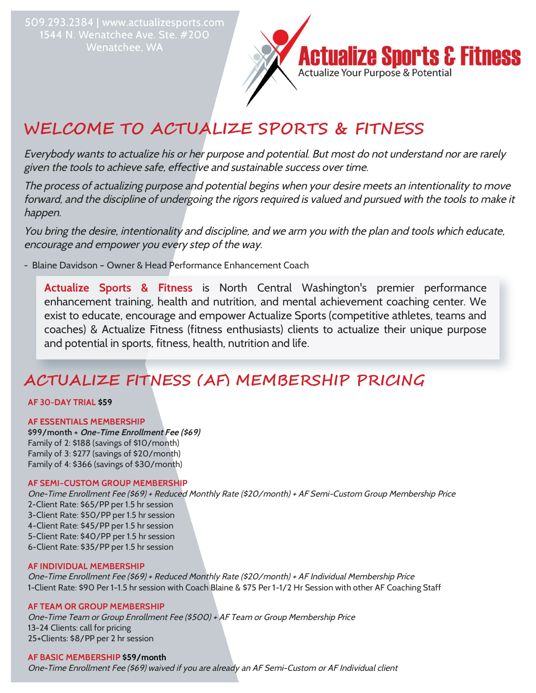509.293.2384 | www.actualizesports.com 1544 N. Wenatchee Ave. Ste. #200 Wenatchee, WA



# **WELCOME TO ACTUALIZE SPORTS & FITNESS**

Everybody wants to actualize his or her purpose and potential. But most do not understand nor are rarely given the tools to achieve safe, effective and sustainable success over time.

The process of actualizing purpose and potential begins when your desire meets an intentionality to move forward, and the discipline of undergoing the rigors required is valued and pursued with the tools to make it happen.

You bring the desire, intentionality and discipline, and we arm you with the plan and tools which educate, encourage and empower you every step of the way.

- Blaine Davidson – Owner & Head Performance Enhancement Coach

**Actualize Sports & Fitness** is North Central Washington's premier performance enhancement training, health and nutrition, and mental achievement coaching center. We exist to educate, encourage and empower Actualize Sports (competitive athletes, teams and coaches) & Actualize Fitness (fitness enthusiasts) clients to actualize their unique purpose and potential in sports, fitness, health, nutrition and life.

## **ACTUALIZE FITNESS (AF) MEMBERSHIP PRICING**

#### **AF 30-DAY TRIAL \$59**

#### **AF ESSENTIALS MEMBERSHIP**

**\$99/month + One-Time Enrollment Fee (\$69)** Family of 2: \$188 (savings of \$10/month) Family of 3: \$277 (savings of \$20/month) Family of 4: \$366 (savings of \$30/month)

#### **AF SEMI–CUSTOM GROUP MEMBERSHIP**

One-Time Enrollment Fee (\$69) + Reduced Monthly Rate (\$20/month) + AF Semi-Custom Group Membership Price 2-Client Rate: \$65/PP per 1.5 hr session 3-Client Rate: \$50/PP per 1.5 hr session 4-Client Rate: \$45/PP per 1.5 hr session 5-Client Rate: \$40/PP per 1.5 hr session 6-Client Rate: \$35/PP per 1.5 hr session

#### **AF INDIVIDUAL MEMBERSHIP**

One-Time Enrollment Fee (\$69) + Reduced Monthly Rate (\$20/month) + AF Individual Membership Price 1-Client Rate: \$90 Per 1-1.5 hr session with Coach Blaine & \$75 Per 1-1/2 Hr Session with other AF Coaching Staff

#### **AF TEAM OR GROUP MEMBERSHIP**

One-Time Team or Group Enrollment Fee (\$500) + AF Team or Group Membership Price 13-24 Clients: call for pricing 25+Clients: \$8/PP per 2 hr session

#### **AF BASIC MEMBERSHIP \$59/month**

One-Time Enrollment Fee (\$69) waived if you are already an AF Semi-Custom or AF Individual client